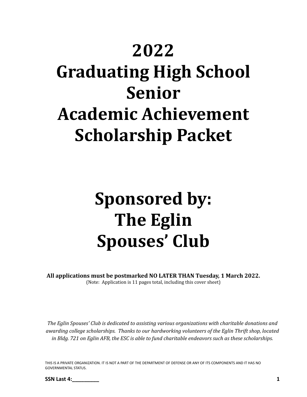## **2022**

# **Graduating High School Senior Academic Achievement Scholarship Packet**

## **Sponsored by: The Eglin Spouses' Club**

**All applications must be postmarked NO LATER THAN Tuesday, 1 March 2022.** (Note: Application is 11 pages total, including this cover sheet)

*The Eglin Spouses' Club is dedicated to assisting various organizations with charitable donations and awarding college scholarships. Thanks to our hardworking volunteers of the Eglin Thrift shop, located* in Bldg. 721 on Eglin AFB, the ESC is able to fund charitable endeavors such as these scholarships.

THIS IS A PRIVATE ORGANIZATION. IT IS NOT A PART OF THE DEPARTMENT OF DEFENSE OR ANY OF ITS COMPONENTS AND IT HAS NO GOVERNMENTAL STATUS.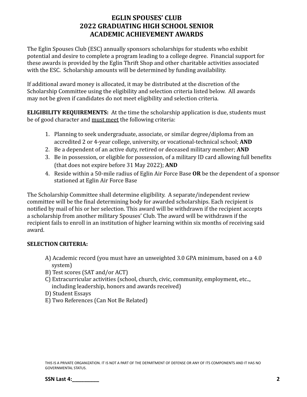#### **EGLIN SPOUSES' CLUB 2022 GRADUATING HIGH SCHOOL SENIOR ACADEMIC ACHIEVEMENT AWARDS**

The Eglin Spouses Club (ESC) annually sponsors scholarships for students who exhibit potential and desire to complete a program leading to a college degree. Financial support for these awards is provided by the Eglin Thrift Shop and other charitable activities associated with the ESC. Scholarship amounts will be determined by funding availability.

If additional award money is allocated, it may be distributed at the discretion of the Scholarship Committee using the eligibility and selection criteria listed below. All awards may not be given if candidates do not meet eligibility and selection criteria.

**ELIGIBILITY REQUIREMENTS:** At the time the scholarship application is due, students must be of good character and must meet the following criteria:

- 1. Planning to seek undergraduate, associate, or similar degree/diploma from an accredited 2 or 4-year college, university, or vocational-technical school; **AND**
- 2. Be a dependent of an active duty, retired or deceased military member; **AND**
- 3. Be in possession, or eligible for possession, of a military ID card allowing full benefits (that does not expire before 31 May 2022); **AND**
- 4. Reside within a 50-mile radius of Eglin Air Force Base **OR** be the dependent of a sponsor stationed at Eglin Air Force Base

The Scholarship Committee shall determine eligibility. A separate/independent review committee will be the final determining body for awarded scholarships. Each recipient is notified by mail of his or her selection. This award will be withdrawn if the recipient accepts a scholarship from another military Spouses' Club. The award will be withdrawn if the recipient fails to enroll in an institution of higher learning within six months of receiving said award.

#### **SELECTION CRITERIA:**

- A) Academic record (you must have an unweighted 3.0 GPA minimum, based on a 4.0 system)
- B) Test scores (SAT and/or ACT)
- C) Extracurricular activities (school, church, civic, community, employment, etc.., including leadership, honors and awards received)
- D) Student Essays
- E) Two References (Can Not Be Related)

THIS IS A PRIVATE ORGANIZATION. IT IS NOT A PART OF THE DEPARTMENT OF DEFENSE OR ANY OF ITS COMPONENTS AND IT HAS NO GOVERNMENTAL STATUS.

**SSN Last 4: 2**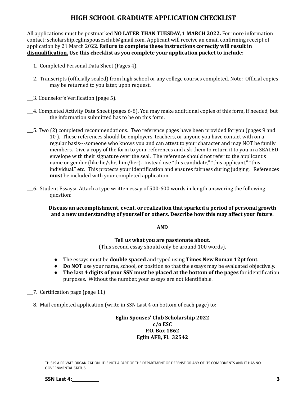#### **HIGH SCHOOL GRADUATE APPLICATION CHECKLIST**

All applications must be postmarked **NO LATER THAN TUESDAY, 1 MARCH 2022.** For more information contact: scholarship.eglinspousesclub@gmail.com. Applicant will receive an email confirming receipt of application by 21 March 2022. **Failure to complete these instructions correctly will result in disqualification. Use this checklist as you complete your application packet to include:**

- \_\_\_1. Completed Personal Data Sheet (Pages 4).
- \_\_\_2. Transcripts (officially sealed) from high school or any college courses completed. Note: Official copies may be returned to you later, upon request.
- \_\_\_3. Counselor's Verification (page 5).
- \_\_\_4. Completed Activity Data Sheet (pages 6-8). You may make additional copies of this form, if needed, but the information submitted has to be on this form.
- \_\_\_5. Two (2) completed recommendations. Two reference pages have been provided for you (pages 9 and 10 ). These references should be employers, teachers, or anyone you have contact with on a regular basis---someone who knows you and can attest to your character and may NOT be family members. Give a copy of the form to your references and ask them to return it to you in a SEALED envelope with their signature over the seal. The reference should not refer to the applicant's name or gender (like he/she, him/her). Instead use "this candidate," "this applicant," "this individual." etc. This protects your identification and ensures fairness during judging. References **must** be included with your completed application.
- \_\_\_6. Student Essays**:** Attach a type written essay of 500-600 words in length answering the following question:

**Discuss an accomplishment, event, or realization that sparked a period of personal growth and a new understanding of yourself or others. Describe how this may affect your future.**

#### **AND**

**Tell us what you are passionate about.**

(This second essay should only be around 100 words).

- The essays must be **double spaced** and typed using **Times New Roman 12pt font**.
- **Do NOT** use your name, school, or position so that the essays may be evaluated objectively.
- **The last 4 digits of your SSN must be placed at the bottom of the pages** for identification purposes. Without the number, your essays are not identifiable.
- \_\_\_7. Certification page (page 11)
- \_\_\_8. Mail completed application (write in SSN Last 4 on bottom of each page) to:

**Eglin Spouses' Club Scholarship 2022 c/o ESC P.O. Box 1862 Eglin AFB, FL 32542**

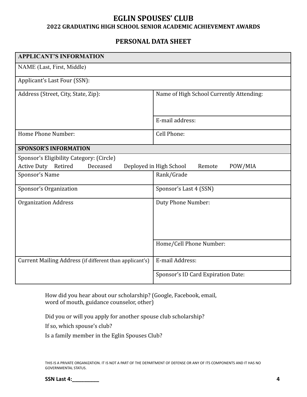#### **EGLIN SPOUSES' CLUB 2022 GRADUATING HIGH SCHOOL SENIOR ACADEMIC ACHIEVEMENT AWARDS**

#### **PERSONAL DATA SHEET**

| <b>APPLICANT'S INFORMATION</b>                          |                                              |
|---------------------------------------------------------|----------------------------------------------|
| NAME (Last, First, Middle)                              |                                              |
| Applicant's Last Four (SSN):                            |                                              |
| Address (Street, City, State, Zip):                     | Name of High School Currently Attending:     |
|                                                         | E-mail address:                              |
| Home Phone Number:                                      | Cell Phone:                                  |
| <b>SPONSOR'S INFORMATION</b>                            |                                              |
| Sponsor's Eligibility Category: (Circle)                |                                              |
| Active Duty Retired<br>Deceased                         | Deployed in High School<br>Remote<br>POW/MIA |
| Sponsor's Name                                          | Rank/Grade                                   |
| Sponsor's Organization                                  | Sponsor's Last 4 (SSN)                       |
| <b>Organization Address</b>                             | Duty Phone Number:                           |
|                                                         | Home/Cell Phone Number:                      |
| Current Mailing Address (if different than applicant's) | E-mail Address:                              |
|                                                         | Sponsor's ID Card Expiration Date:           |

How did you hear about our scholarship? (Google, Facebook, email, word of mouth, guidance counselor, other)

Did you or will you apply for another spouse club scholarship?

If so, which spouse's club?

Is a family member in the Eglin Spouses Club?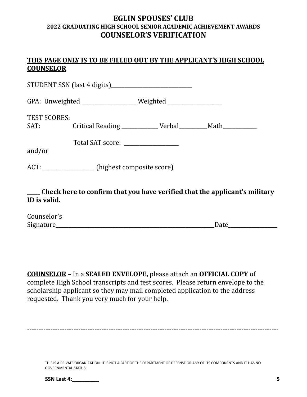#### **EGLIN SPOUSES' CLUB 2022 GRADUATING HIGH SCHOOL SENIOR ACADEMIC ACHIEVEMENT AWARDS COUNSELOR'S VERIFICATION**

#### **THIS PAGE ONLY IS TO BE FILLED OUT BY THE APPLICANT'S HIGH SCHOOL COUNSELOR**

|                               |                                               | GPA: Unweighted ______________________ Weighted ________________________________ |  |
|-------------------------------|-----------------------------------------------|----------------------------------------------------------------------------------|--|
| <b>TEST SCORES:</b><br>and/or | Total SAT score: __________________           |                                                                                  |  |
|                               | ACT: _______________(highest composite score) |                                                                                  |  |
| ID is valid.                  |                                               | Check here to confirm that you have verified that the applicant's military       |  |

| Counselor's |      |
|-------------|------|
| Signature   | Date |

**COUNSELOR** – In a **SEALED ENVELOPE,** please attach an **OFFICIAL COPY** of complete High School transcripts and test scores. Please return envelope to the scholarship applicant so they may mail completed application to the address requested. Thank you very much for your help.

------------------------------------------------------------------------------------------------------------

| <b>SSN Last 4:</b> |  |
|--------------------|--|
|                    |  |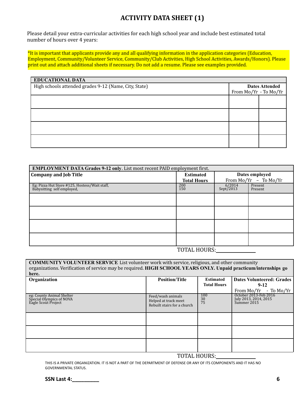#### **ACTIVITY DATA SHEET (1)**

Please detail your extra-curricular activities for each high school year and include best estimated total number of hours over 4 years:

\*It is important that applicants provide any and all qualifying information in the application categories (Education, Employment, Community/Volunteer Service, Community/Club Activities, High School Activities, Awards/Honors). Please print out and attach additional sheets if necessary. Do not add a resume. Please see examples provided.

| <b>EDUCATIONAL DATA</b>                               |                       |  |
|-------------------------------------------------------|-----------------------|--|
| High schools attended grades 9-12 (Name, City, State) | <b>Dates Attended</b> |  |
|                                                       | From Mo/Yr - To Mo/Yr |  |
|                                                       |                       |  |
|                                                       |                       |  |
|                                                       |                       |  |
|                                                       |                       |  |
|                                                       |                       |  |
|                                                       |                       |  |
|                                                       |                       |  |
|                                                       |                       |  |
|                                                       |                       |  |

| <b>EMPLOYMENT DATA Grades 9-12 only.</b> List most recent PAID employment first. |                    |                       |                         |
|----------------------------------------------------------------------------------|--------------------|-----------------------|-------------------------|
| <b>Company and Job Title</b>                                                     | <b>Estimated</b>   | Dates employed        |                         |
|                                                                                  | <b>Total Hours</b> |                       | From $Mo/Yr - To Mo/Yr$ |
| Eg: Pizza Hut Store #125, Hostess/Wait staff, Babysitting self employed,         | 200<br>150         | $6/2014$<br>Sept/2013 | Present<br>Present      |
|                                                                                  |                    |                       |                         |
|                                                                                  |                    |                       |                         |
|                                                                                  |                    |                       |                         |
|                                                                                  |                    |                       |                         |
|                                                                                  | MOMAI IIOIIDO      |                       |                         |

#### TOTAL HOURS:

| <b>COMMUNITY VOLUNTEER SERVICE</b> List volunteer work with service, religious, and other community<br>organizations. Verification of service may be required. HIGH SCHOOL YEARS ONLY. Unpaid practicum/internships go<br>here. |                                                                          |                        |                                                               |  |
|---------------------------------------------------------------------------------------------------------------------------------------------------------------------------------------------------------------------------------|--------------------------------------------------------------------------|------------------------|---------------------------------------------------------------|--|
| Organization                                                                                                                                                                                                                    | <b>Position/Title</b>                                                    | <b>Estimated</b>       | <b>Dates Volunteered: Grades</b>                              |  |
|                                                                                                                                                                                                                                 |                                                                          | <b>Total Hours</b>     | $9-12$                                                        |  |
|                                                                                                                                                                                                                                 |                                                                          |                        | From $Mo/Yr - To Mo/Yr$                                       |  |
| eg: County Animal Shelter<br>Special Olympics of NOVA<br>Eagle Scout Project                                                                                                                                                    | Feed/wash animals<br>Helped at track meet<br>Rebuilt stairs for a church | 100<br>$\frac{30}{75}$ | October 2013-Feb 2016<br>July 2013, 2014, 2015<br>Summer 2015 |  |
|                                                                                                                                                                                                                                 |                                                                          |                        |                                                               |  |
|                                                                                                                                                                                                                                 |                                                                          |                        |                                                               |  |
|                                                                                                                                                                                                                                 |                                                                          |                        |                                                               |  |

TOTAL HOURS:

THIS IS A PRIVATE ORGANIZATION. IT IS NOT A PART OF THE DEPARTMENT OF DEFENSE OR ANY OF ITS COMPONENTS AND IT HAS NO GOVERNMENTAL STATUS.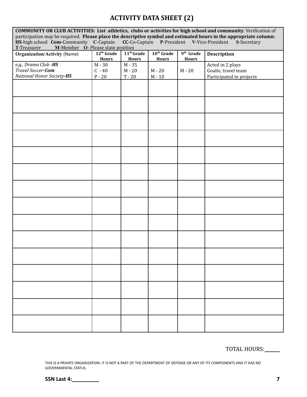### **ACTIVITY DATA SHEET (2)**

| COMMUNITY OR CLUB ACTIVITIES: List athletics, clubs or activities for high school and community. Verification of  |                        |                        |                                            |                       |                          |
|-------------------------------------------------------------------------------------------------------------------|------------------------|------------------------|--------------------------------------------|-----------------------|--------------------------|
| participation may be required. Please place the descriptive symbol and estimated hours in the appropriate column: |                        |                        |                                            |                       |                          |
| HS-high school Com-Community C-Captain<br>M-Member O- Please state position                                       |                        |                        | CC-Co-Captain P-President V-Vice-President |                       | S-Secretary              |
| T-Treasurer<br><b>Organization/Activity (Name)</b>                                                                | 12 <sup>th</sup> Grade | 11 <sup>th</sup> Grade | 10 <sup>th</sup> Grade                     | 9 <sup>th</sup> Grade | <b>Description</b>       |
|                                                                                                                   | <b>Hours</b>           | <b>Hours</b>           | <b>Hours</b>                               | <b>Hours</b>          |                          |
| e.g., Drama Club -HS                                                                                              | $M - 30$               | M - 35                 |                                            |                       | Acted in 2 plays         |
| Travel Soccer-Com                                                                                                 | $C - 40$               | $M - 20$               | $M - 20$                                   | $M - 20$              | Goalie, travel team      |
| National Honor Society-HS                                                                                         | $P - 20$               | $T - 20$               | $M - 10$                                   |                       | Participated in projects |
|                                                                                                                   |                        |                        |                                            |                       |                          |
|                                                                                                                   |                        |                        |                                            |                       |                          |
|                                                                                                                   |                        |                        |                                            |                       |                          |
|                                                                                                                   |                        |                        |                                            |                       |                          |
|                                                                                                                   |                        |                        |                                            |                       |                          |
|                                                                                                                   |                        |                        |                                            |                       |                          |
|                                                                                                                   |                        |                        |                                            |                       |                          |
|                                                                                                                   |                        |                        |                                            |                       |                          |
|                                                                                                                   |                        |                        |                                            |                       |                          |
|                                                                                                                   |                        |                        |                                            |                       |                          |
|                                                                                                                   |                        |                        |                                            |                       |                          |
|                                                                                                                   |                        |                        |                                            |                       |                          |
|                                                                                                                   |                        |                        |                                            |                       |                          |
|                                                                                                                   |                        |                        |                                            |                       |                          |
|                                                                                                                   |                        |                        |                                            |                       |                          |
|                                                                                                                   |                        |                        |                                            |                       |                          |
|                                                                                                                   |                        |                        |                                            |                       |                          |
|                                                                                                                   |                        |                        |                                            |                       |                          |
|                                                                                                                   |                        |                        |                                            |                       |                          |
|                                                                                                                   |                        |                        |                                            |                       |                          |
|                                                                                                                   |                        |                        |                                            |                       |                          |
|                                                                                                                   |                        |                        |                                            |                       |                          |
|                                                                                                                   |                        |                        |                                            |                       |                          |
|                                                                                                                   |                        |                        |                                            |                       |                          |
|                                                                                                                   |                        |                        |                                            |                       |                          |
|                                                                                                                   |                        |                        |                                            |                       |                          |
|                                                                                                                   |                        |                        |                                            |                       |                          |
|                                                                                                                   |                        |                        |                                            |                       |                          |
|                                                                                                                   |                        |                        |                                            |                       |                          |
|                                                                                                                   |                        |                        |                                            |                       |                          |
|                                                                                                                   |                        |                        |                                            |                       |                          |

TOTAL HOURS:

THIS IS A PRIVATE ORGANIZATION. IT IS NOT A PART OF THE DEPARTMENT OF DEFENSE OR ANY OF ITS COMPONENTS AND IT HAS NO GOVERNMENTAL STATUS.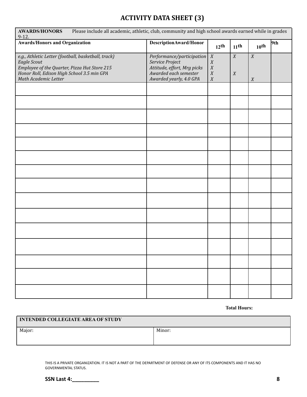## **ACTIVITY DATA SHEET (3)**

| <b>AWARDS/HONORS</b><br>Please include all academic, athletic, club, community and high school awards earned while in grades<br>$9-12.$                                                  |                                                                                                                                     |                                                                              |                                      |                                      |     |
|------------------------------------------------------------------------------------------------------------------------------------------------------------------------------------------|-------------------------------------------------------------------------------------------------------------------------------------|------------------------------------------------------------------------------|--------------------------------------|--------------------------------------|-----|
| <b>Awards/Honors and Organization</b>                                                                                                                                                    | DescriptionAward/Honor                                                                                                              | $12$ <sup>th</sup>                                                           | $11$ <sup>th</sup>                   | $10^{th}$                            | 9th |
| e.g., Athletic Letter (football, basketball, track)<br>Eagle Scout<br>Employee of the Quarter, Pizza Hut Store 215<br>Honor Roll, Edison High School 3.5 min GPA<br>Math Academic Letter | Performance/participation $X$<br>Service Project<br>Attitude, effort, Mrg picks<br>Awarded each semester<br>Awarded yearly, 4.0 GPA | $\boldsymbol{X}$<br>$\boldsymbol{X}$<br>$\boldsymbol{X}$<br>$\boldsymbol{X}$ | $\boldsymbol{X}$<br>$\boldsymbol{X}$ | $\boldsymbol{X}$<br>$\boldsymbol{X}$ |     |
|                                                                                                                                                                                          |                                                                                                                                     |                                                                              |                                      |                                      |     |
|                                                                                                                                                                                          |                                                                                                                                     |                                                                              |                                      |                                      |     |
|                                                                                                                                                                                          |                                                                                                                                     |                                                                              |                                      |                                      |     |
|                                                                                                                                                                                          |                                                                                                                                     |                                                                              |                                      |                                      |     |
|                                                                                                                                                                                          |                                                                                                                                     |                                                                              |                                      |                                      |     |
|                                                                                                                                                                                          |                                                                                                                                     |                                                                              |                                      |                                      |     |
|                                                                                                                                                                                          |                                                                                                                                     |                                                                              |                                      |                                      |     |
|                                                                                                                                                                                          |                                                                                                                                     |                                                                              |                                      |                                      |     |
|                                                                                                                                                                                          |                                                                                                                                     |                                                                              |                                      |                                      |     |
|                                                                                                                                                                                          |                                                                                                                                     |                                                                              |                                      |                                      |     |
|                                                                                                                                                                                          |                                                                                                                                     |                                                                              |                                      |                                      |     |
|                                                                                                                                                                                          |                                                                                                                                     |                                                                              |                                      |                                      |     |
|                                                                                                                                                                                          |                                                                                                                                     |                                                                              |                                      |                                      |     |
|                                                                                                                                                                                          |                                                                                                                                     |                                                                              |                                      |                                      |     |
|                                                                                                                                                                                          |                                                                                                                                     |                                                                              |                                      |                                      |     |

**Total Hours:**

| <b>INTENDED COLLEGIATE AREA OF STUDY</b> |        |  |
|------------------------------------------|--------|--|
| Major:                                   | Minor: |  |
|                                          |        |  |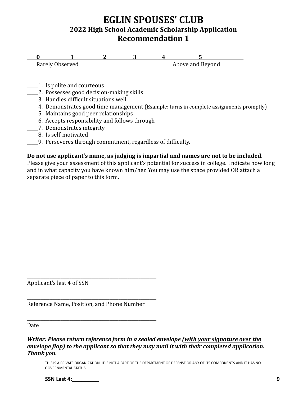## **EGLIN SPOUSES' CLUB 2022 High School Academic Scholarship Application Recommendation 1**

**0** 1 2 3 4 5<br>Rarely Observed Above and Bevond Above and Beyond

- 1. Is polite and courteous
- \_\_\_\_\_2. Possesses good decision-making skills
- \_\_\_\_\_3. Handles difficult situations well
- \_\_\_\_\_4. Demonstrates good time management (Example: turns in complete assignments promptly)
- \_\_\_\_\_5. Maintains good peer relationships
- \_\_\_\_\_6. Accepts responsibility and follows through
- \_\_\_\_\_7. Demonstrates integrity
- \_\_\_\_\_8. Is self-motivated
- \_\_\_\_\_9. Perseveres through commitment, regardless of difficulty.

#### **Do not use applicant's name, as judging is impartial and names are not to be included.**

Please give your assessment of this applicant's potential for success in college. Indicate how long and in what capacity you have known him/her. You may use the space provided OR attach a separate piece of paper to this form.

Applicant's last 4 of SSN

Reference Name, Position, and Phone Number

**\_\_\_\_\_\_\_\_\_\_\_\_\_\_\_\_\_\_\_\_\_\_\_\_\_\_\_\_\_\_\_\_\_\_\_\_\_\_\_\_\_\_\_\_\_\_\_\_\_\_\_\_\_\_\_\_\_\_**

\_\_\_\_\_\_\_\_\_\_\_\_\_\_\_\_\_\_\_\_\_\_\_\_\_\_\_\_\_\_\_\_\_\_\_\_\_\_\_\_\_\_\_\_\_\_\_\_\_\_\_\_\_\_\_\_\_\_

\_\_\_\_\_\_\_\_\_\_\_\_\_\_\_\_\_\_\_\_\_\_\_\_\_\_\_\_\_\_\_\_\_\_\_\_\_\_\_\_\_\_\_\_\_\_\_\_\_\_\_\_\_\_\_\_\_\_

Date

*Writer: Please return reference form in a sealed envelope (with your signature over the envelope flap) to the applicant so that they may mail it with their completed application. Thank you.*

THIS IS A PRIVATE ORGANIZATION. IT IS NOT A PART OF THE DEPARTMENT OF DEFENSE OR ANY OF ITS COMPONENTS AND IT HAS NO GOVERNMENTAL STATUS.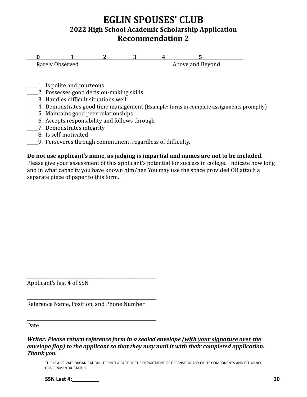## **EGLIN SPOUSES' CLUB 2022 High School Academic Scholarship Application Recommendation 2**

**0** 1 2 3 4 5<br>Rarely Observed Above and Bevond Above and Beyond

- 1. Is polite and courteous
- \_\_\_\_\_2. Possesses good decision-making skills
- \_\_\_\_\_3. Handles difficult situations well
- \_\_\_\_\_4. Demonstrates good time management (Example: turns in complete assignments promptly)
- \_\_\_\_\_5. Maintains good peer relationships
- \_\_\_\_\_6. Accepts responsibility and follows through
- \_\_\_\_\_7. Demonstrates integrity
- \_\_\_\_\_8. Is self-motivated
- \_\_\_\_\_9. Perseveres through commitment, regardless of difficulty.

#### **Do not use applicant's name, as judging is impartial and names are not to be included.**

Please give your assessment of this applicant's potential for success in college. Indicate how long and in what capacity you have known him/her. You may use the space provided OR attach a separate piece of paper to this form.

Applicant's last 4 of SSN

Reference Name, Position, and Phone Number

**\_\_\_\_\_\_\_\_\_\_\_\_\_\_\_\_\_\_\_\_\_\_\_\_\_\_\_\_\_\_\_\_\_\_\_\_\_\_\_\_\_\_\_\_\_\_\_\_\_\_\_\_\_\_\_\_\_\_**

\_\_\_\_\_\_\_\_\_\_\_\_\_\_\_\_\_\_\_\_\_\_\_\_\_\_\_\_\_\_\_\_\_\_\_\_\_\_\_\_\_\_\_\_\_\_\_\_\_\_\_\_\_\_\_\_\_\_

\_\_\_\_\_\_\_\_\_\_\_\_\_\_\_\_\_\_\_\_\_\_\_\_\_\_\_\_\_\_\_\_\_\_\_\_\_\_\_\_\_\_\_\_\_\_\_\_\_\_\_\_\_\_\_\_\_\_

Date

*Writer: Please return reference form in a sealed envelope (with your signature over the envelope flap) to the applicant so that they may mail it with their completed application. Thank you.*

THIS IS A PRIVATE ORGANIZATION. IT IS NOT A PART OF THE DEPARTMENT OF DEFENSE OR ANY OF ITS COMPONENTS AND IT HAS NO GOVERNMENTAL STATUS.